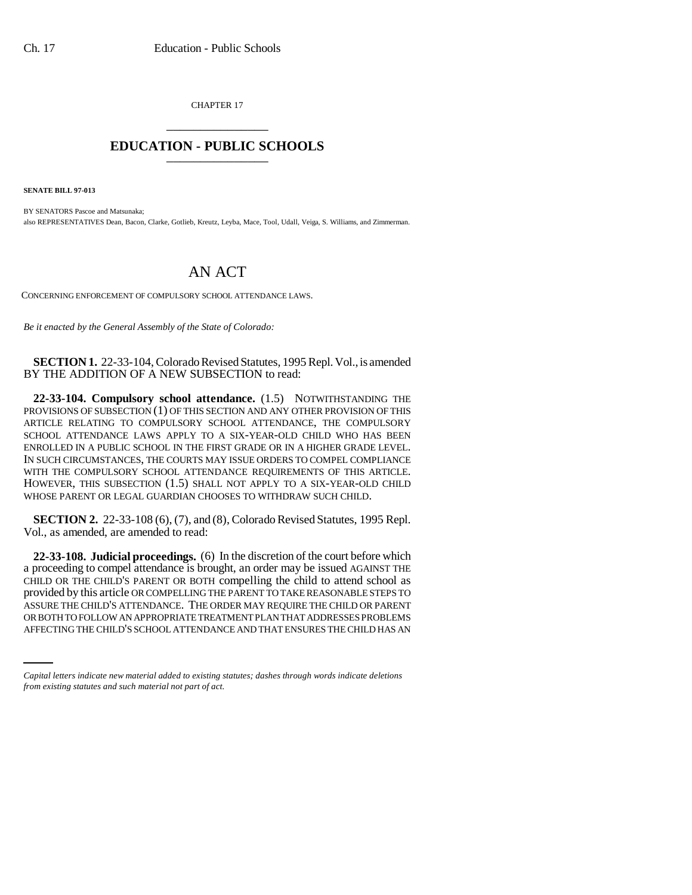CHAPTER 17 \_\_\_\_\_\_\_\_\_\_\_\_\_\_\_

## **EDUCATION - PUBLIC SCHOOLS** \_\_\_\_\_\_\_\_\_\_\_\_\_\_\_

**SENATE BILL 97-013**

BY SENATORS Pascoe and Matsunaka; also REPRESENTATIVES Dean, Bacon, Clarke, Gotlieb, Kreutz, Leyba, Mace, Tool, Udall, Veiga, S. Williams, and Zimmerman.

## AN ACT

CONCERNING ENFORCEMENT OF COMPULSORY SCHOOL ATTENDANCE LAWS.

*Be it enacted by the General Assembly of the State of Colorado:*

**SECTION 1.** 22-33-104, Colorado Revised Statutes, 1995 Repl. Vol., is amended BY THE ADDITION OF A NEW SUBSECTION to read:

**22-33-104. Compulsory school attendance.** (1.5) NOTWITHSTANDING THE PROVISIONS OF SUBSECTION (1) OF THIS SECTION AND ANY OTHER PROVISION OF THIS ARTICLE RELATING TO COMPULSORY SCHOOL ATTENDANCE, THE COMPULSORY SCHOOL ATTENDANCE LAWS APPLY TO A SIX-YEAR-OLD CHILD WHO HAS BEEN ENROLLED IN A PUBLIC SCHOOL IN THE FIRST GRADE OR IN A HIGHER GRADE LEVEL. IN SUCH CIRCUMSTANCES, THE COURTS MAY ISSUE ORDERS TO COMPEL COMPLIANCE WITH THE COMPULSORY SCHOOL ATTENDANCE REQUIREMENTS OF THIS ARTICLE. HOWEVER, THIS SUBSECTION (1.5) SHALL NOT APPLY TO A SIX-YEAR-OLD CHILD WHOSE PARENT OR LEGAL GUARDIAN CHOOSES TO WITHDRAW SUCH CHILD.

**SECTION 2.** 22-33-108 (6), (7), and (8), Colorado Revised Statutes, 1995 Repl. Vol., as amended, are amended to read:

ASSURE THE CHILD'S ATTENDANCE. THE ORDER MAY REQUIRE THE CHILD OR PARENT **22-33-108. Judicial proceedings.** (6) In the discretion of the court before which a proceeding to compel attendance is brought, an order may be issued AGAINST THE CHILD OR THE CHILD'S PARENT OR BOTH compelling the child to attend school as provided by this article OR COMPELLING THE PARENT TO TAKE REASONABLE STEPS TO OR BOTH TO FOLLOW AN APPROPRIATE TREATMENT PLAN THAT ADDRESSES PROBLEMS AFFECTING THE CHILD'S SCHOOL ATTENDANCE AND THAT ENSURES THE CHILD HAS AN

*Capital letters indicate new material added to existing statutes; dashes through words indicate deletions from existing statutes and such material not part of act.*